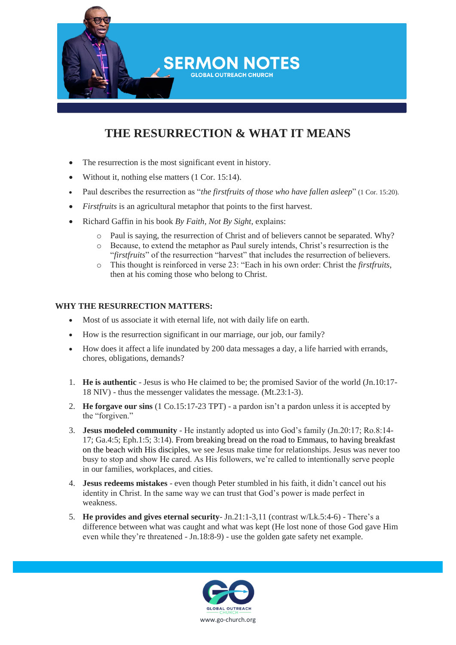

## **THE RESURRECTION & WHAT IT MEANS**

- The resurrection is the most significant event in history.
- Without it, nothing else matters [\(1 Cor. 15:14\)](https://www.biblegateway.com/passage/?search=1+Cor.+15%3A14&version=NIV).
- Paul describes the resurrection as "*the firstfruits of those who have fallen asleep*" [\(1 Cor. 15:20\)](https://www.biblegateway.com/passage/?search=1+Cor.+15%3A20&version=NIV).
- *Firstfruits* is an agricultural metaphor that points to the first harvest.
- Richard Gaffin in his book *By Faith, Not By Sight*, explains:
	- o Paul is saying, the resurrection of Christ and of believers cannot be separated. Why?
	- o Because, to extend the metaphor as Paul surely intends, Christ's resurrection is the "*firstfruits*" of the resurrection "harvest" that includes the resurrection of believers.
	- o This thought is reinforced in verse 23: "Each in his own order: Christ the *firstfruits*, then at his coming those who belong to Christ.

## **WHY THE RESURRECTION MATTERS:**

- Most of us associate it with eternal life, not with daily life on earth.
- How is the resurrection significant in our marriage, our job, our family?
- How does it affect a life inundated by 200 data messages a day, a life harried with errands, chores, obligations, demands?
- 1. **He is authentic** Jesus is who He claimed to be; the promised Savior of the world (Jn.10:17- 18 NIV) - thus the messenger validates the message. (Mt.23:1-3).
- 2. **He forgave our sins** (1 Co.15:17-23 TPT) a pardon isn't a pardon unless it is accepted by the "forgiven."
- 3. **Jesus modeled community** He instantly adopted us into God's family (Jn.20:17; Ro.8:14- 17; Ga.4:5; Eph.1:5; 3:14). From breaking bread on the road to Emmaus, to having breakfast on the beach with His disciples, we see Jesus make time for relationships. Jesus was never too busy to stop and show He cared. As His followers, we're called to intentionally serve people in our families, workplaces, and cities.
- 4. **Jesus redeems mistakes** even though Peter stumbled in his faith, it didn't cancel out his identity in Christ. In the same way we can trust that God's power is made perfect in weakness.
- 5. **He provides and gives eternal security** Jn.21:1-3,11 (contrast w/Lk.5:4-6) There's a difference between what was caught and what was kept (He lost none of those God gave Him even while they're threatened - Jn.18:8-9) - use the golden gate safety net example.